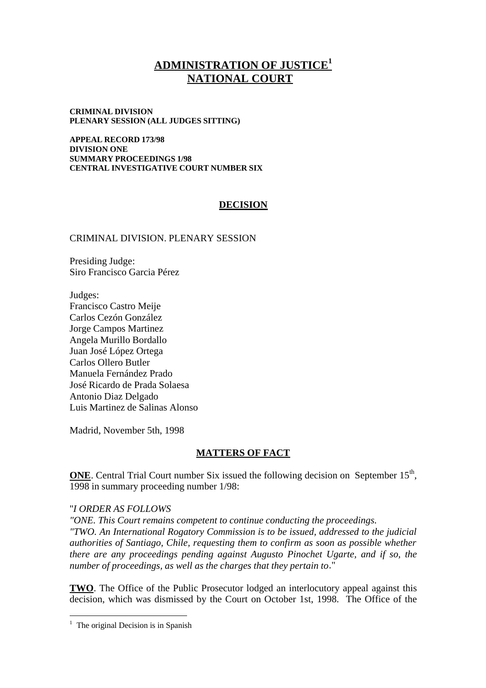# **ADMINISTRATION OF JUSTICE<sup>1</sup> NATIONAL COURT**

#### **CRIMINAL DIVISION PLENARY SESSION (ALL JUDGES SITTING)**

**APPEAL RECORD 173/98 DIVISION ONE SUMMARY PROCEEDINGS 1/98 CENTRAL INVESTIGATIVE COURT NUMBER SIX**

## **DECISION**

### CRIMINAL DIVISION. PLENARY SESSION

Presiding Judge: Siro Francisco Garcia Pérez

Judges: Francisco Castro Meije Carlos Cezón González Jorge Campos Martinez Angela Murillo Bordallo Juan José López Ortega Carlos Ollero Butler Manuela Fernández Prado José Ricardo de Prada Solaesa Antonio Diaz Delgado Luis Martinez de Salinas Alonso

Madrid, November 5th, 1998

# **MATTERS OF FACT**

**ONE**. Central Trial Court number Six issued the following decision on September 15<sup>th</sup>, 1998 in summary proceeding number 1/98:

#### "*I ORDER AS FOLLOWS*

*"ONE. This Court remains competent to continue conducting the proceedings.*

*"TWO. An International Rogatory Commission is to be issued, addressed to the judicial authorities of Santiago, Chile, requesting them to confirm as soon as possible whether there are any proceedings pending against Augusto Pinochet Ugarte, and if so, the number of proceedings, as well as the charges that they pertain to*."

**TWO**. The Office of the Public Prosecutor lodged an interlocutory appeal against this decision, which was dismissed by the Court on October 1st, 1998. The Office of the

<sup>&</sup>lt;sup>1</sup> The original Decision is in Spanish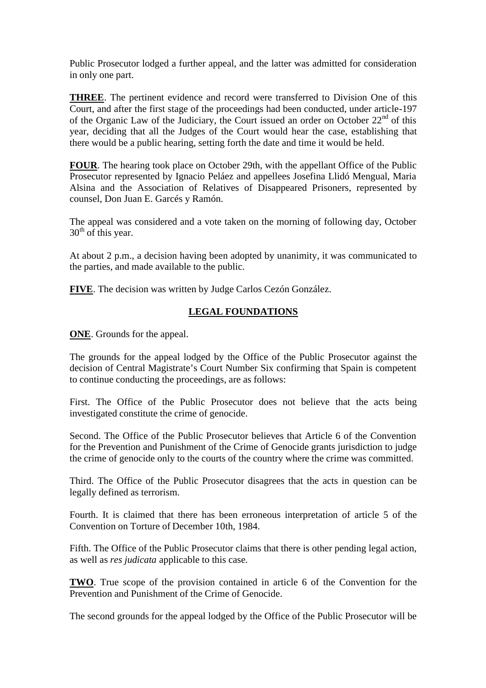Public Prosecutor lodged a further appeal, and the latter was admitted for consideration in only one part.

**THREE**. The pertinent evidence and record were transferred to Division One of this Court, and after the first stage of the proceedings had been conducted, under article-197 of the Organic Law of the Judiciary, the Court issued an order on October  $22<sup>nd</sup>$  of this year, deciding that all the Judges of the Court would hear the case, establishing that there would be a public hearing, setting forth the date and time it would be held.

**FOUR**. The hearing took place on October 29th, with the appellant Office of the Public Prosecutor represented by Ignacio Peláez and appellees Josefina Llidó Mengual, Maria Alsina and the Association of Relatives of Disappeared Prisoners, represented by counsel, Don Juan E. Garcés y Ramón.

The appeal was considered and a vote taken on the morning of following day, October  $30<sup>th</sup>$  of this year.

At about 2 p.m., a decision having been adopted by unanimity, it was communicated to the parties, and made available to the public.

**FIVE**. The decision was written by Judge Carlos Cezón González.

# **LEGAL FOUNDATIONS**

**ONE**. Grounds for the appeal.

The grounds for the appeal lodged by the Office of the Public Prosecutor against the decision of Central Magistrate's Court Number Six confirming that Spain is competent to continue conducting the proceedings, are as follows:

First. The Office of the Public Prosecutor does not believe that the acts being investigated constitute the crime of genocide.

Second. The Office of the Public Prosecutor believes that Article 6 of the Convention for the Prevention and Punishment of the Crime of Genocide grants jurisdiction to judge the crime of genocide only to the courts of the country where the crime was committed.

Third. The Office of the Public Prosecutor disagrees that the acts in question can be legally defined as terrorism.

Fourth. It is claimed that there has been erroneous interpretation of article 5 of the Convention on Torture of December 10th, 1984.

Fifth. The Office of the Public Prosecutor claims that there is other pending legal action, as well as *res judicata* applicable to this case*.*

**TWO**. True scope of the provision contained in article 6 of the Convention for the Prevention and Punishment of the Crime of Genocide.

The second grounds for the appeal lodged by the Office of the Public Prosecutor will be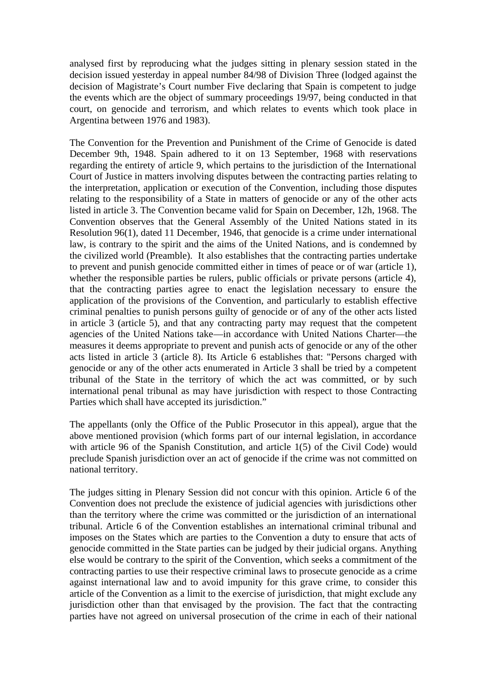analysed first by reproducing what the judges sitting in plenary session stated in the decision issued yesterday in appeal number 84/98 of Division Three (lodged against the decision of Magistrate's Court number Five declaring that Spain is competent to judge the events which are the object of summary proceedings 19/97, being conducted in that court, on genocide and terrorism, and which relates to events which took place in Argentina between 1976 and 1983).

The Convention for the Prevention and Punishment of the Crime of Genocide is dated December 9th, 1948. Spain adhered to it on 13 September, 1968 with reservations regarding the entirety of article 9, which pertains to the jurisdiction of the International Court of Justice in matters involving disputes between the contracting parties relating to the interpretation, application or execution of the Convention, including those disputes relating to the responsibility of a State in matters of genocide or any of the other acts listed in article 3. The Convention became valid for Spain on December, 12h, 1968. The Convention observes that the General Assembly of the United Nations stated in its Resolution 96(1), dated 11 December, 1946, that genocide is a crime under international law, is contrary to the spirit and the aims of the United Nations, and is condemned by the civilized world (Preamble). It also establishes that the contracting parties undertake to prevent and punish genocide committed either in times of peace or of war (article 1), whether the responsible parties be rulers, public officials or private persons (article 4), that the contracting parties agree to enact the legislation necessary to ensure the application of the provisions of the Convention, and particularly to establish effective criminal penalties to punish persons guilty of genocide or of any of the other acts listed in article 3 (article 5), and that any contracting party may request that the competent agencies of the United Nations take—in accordance with United Nations Charter—the measures it deems appropriate to prevent and punish acts of genocide or any of the other acts listed in article 3 (article 8). Its Article 6 establishes that: "Persons charged with genocide or any of the other acts enumerated in Article 3 shall be tried by a competent tribunal of the State in the territory of which the act was committed, or by such international penal tribunal as may have jurisdiction with respect to those Contracting Parties which shall have accepted its jurisdiction."

The appellants (only the Office of the Public Prosecutor in this appeal), argue that the above mentioned provision (which forms part of our internal legislation, in accordance with article 96 of the Spanish Constitution, and article 1(5) of the Civil Code) would preclude Spanish jurisdiction over an act of genocide if the crime was not committed on national territory.

The judges sitting in Plenary Session did not concur with this opinion. Article 6 of the Convention does not preclude the existence of judicial agencies with jurisdictions other than the territory where the crime was committed or the jurisdiction of an international tribunal. Article 6 of the Convention establishes an international criminal tribunal and imposes on the States which are parties to the Convention a duty to ensure that acts of genocide committed in the State parties can be judged by their judicial organs. Anything else would be contrary to the spirit of the Convention, which seeks a commitment of the contracting parties to use their respective criminal laws to prosecute genocide as a crime against international law and to avoid impunity for this grave crime, to consider this article of the Convention as a limit to the exercise of jurisdiction, that might exclude any jurisdiction other than that envisaged by the provision. The fact that the contracting parties have not agreed on universal prosecution of the crime in each of their national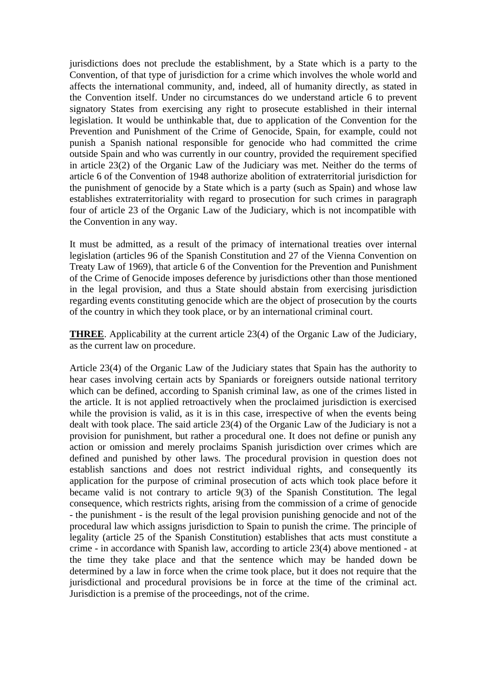jurisdictions does not preclude the establishment, by a State which is a party to the Convention, of that type of jurisdiction for a crime which involves the whole world and affects the international community, and, indeed, all of humanity directly, as stated in the Convention itself. Under no circumstances do we understand article 6 to prevent signatory States from exercising any right to prosecute established in their internal legislation. It would be unthinkable that, due to application of the Convention for the Prevention and Punishment of the Crime of Genocide, Spain, for example, could not punish a Spanish national responsible for genocide who had committed the crime outside Spain and who was currently in our country, provided the requirement specified in article 23(2) of the Organic Law of the Judiciary was met. Neither do the terms of article 6 of the Convention of 1948 authorize abolition of extraterritorial jurisdiction for the punishment of genocide by a State which is a party (such as Spain) and whose law establishes extraterritoriality with regard to prosecution for such crimes in paragraph four of article 23 of the Organic Law of the Judiciary, which is not incompatible with the Convention in any way.

It must be admitted, as a result of the primacy of international treaties over internal legislation (articles 96 of the Spanish Constitution and 27 of the Vienna Convention on Treaty Law of 1969), that article 6 of the Convention for the Prevention and Punishment of the Crime of Genocide imposes deference by jurisdictions other than those mentioned in the legal provision, and thus a State should abstain from exercising jurisdiction regarding events constituting genocide which are the object of prosecution by the courts of the country in which they took place, or by an international criminal court.

**THREE**. Applicability at the current article 23(4) of the Organic Law of the Judiciary, as the current law on procedure.

Article 23(4) of the Organic Law of the Judiciary states that Spain has the authority to hear cases involving certain acts by Spaniards or foreigners outside national territory which can be defined, according to Spanish criminal law, as one of the crimes listed in the article. It is not applied retroactively when the proclaimed jurisdiction is exercised while the provision is valid, as it is in this case, irrespective of when the events being dealt with took place. The said article 23(4) of the Organic Law of the Judiciary is not a provision for punishment, but rather a procedural one. It does not define or punish any action or omission and merely proclaims Spanish jurisdiction over crimes which are defined and punished by other laws. The procedural provision in question does not establish sanctions and does not restrict individual rights, and consequently its application for the purpose of criminal prosecution of acts which took place before it became valid is not contrary to article 9(3) of the Spanish Constitution. The legal consequence, which restricts rights, arising from the commission of a crime of genocide - the punishment - is the result of the legal provision punishing genocide and not of the procedural law which assigns jurisdiction to Spain to punish the crime. The principle of legality (article 25 of the Spanish Constitution) establishes that acts must constitute a crime - in accordance with Spanish law, according to article 23(4) above mentioned - at the time they take place and that the sentence which may be handed down be determined by a law in force when the crime took place, but it does not require that the jurisdictional and procedural provisions be in force at the time of the criminal act. Jurisdiction is a premise of the proceedings, not of the crime.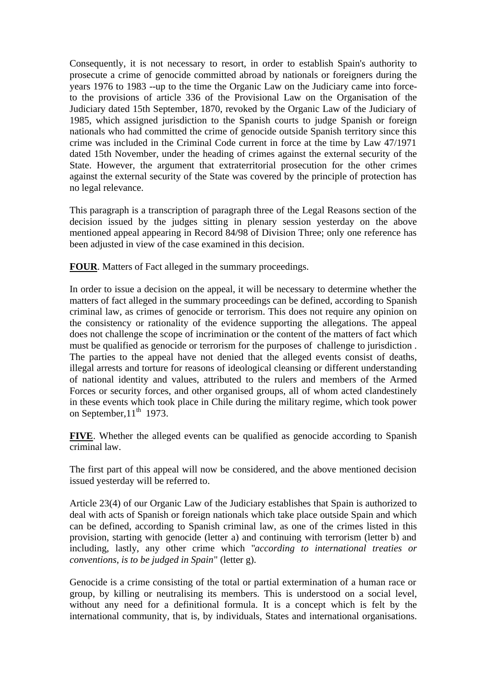Consequently, it is not necessary to resort, in order to establish Spain's authority to prosecute a crime of genocide committed abroad by nationals or foreigners during the years 1976 to 1983 --up to the time the Organic Law on the Judiciary came into forceto the provisions of article 336 of the Provisional Law on the Organisation of the Judiciary dated 15th September, 1870, revoked by the Organic Law of the Judiciary of 1985, which assigned jurisdiction to the Spanish courts to judge Spanish or foreign nationals who had committed the crime of genocide outside Spanish territory since this crime was included in the Criminal Code current in force at the time by Law 47/1971 dated 15th November, under the heading of crimes against the external security of the State. However, the argument that extraterritorial prosecution for the other crimes against the external security of the State was covered by the principle of protection has no legal relevance.

This paragraph is a transcription of paragraph three of the Legal Reasons section of the decision issued by the judges sitting in plenary session yesterday on the above mentioned appeal appearing in Record 84/98 of Division Three; only one reference has been adjusted in view of the case examined in this decision.

**FOUR**. Matters of Fact alleged in the summary proceedings.

In order to issue a decision on the appeal, it will be necessary to determine whether the matters of fact alleged in the summary proceedings can be defined, according to Spanish criminal law, as crimes of genocide or terrorism. This does not require any opinion on the consistency or rationality of the evidence supporting the allegations. The appeal does not challenge the scope of incrimination or the content of the matters of fact which must be qualified as genocide or terrorism for the purposes of challenge to jurisdiction . The parties to the appeal have not denied that the alleged events consist of deaths, illegal arrests and torture for reasons of ideological cleansing or different understanding of national identity and values, attributed to the rulers and members of the Armed Forces or security forces, and other organised groups, all of whom acted clandestinely in these events which took place in Chile during the military regime, which took power on September,  $11<sup>th</sup>$  1973.

**FIVE**. Whether the alleged events can be qualified as genocide according to Spanish criminal law.

The first part of this appeal will now be considered, and the above mentioned decision issued yesterday will be referred to.

Article 23(4) of our Organic Law of the Judiciary establishes that Spain is authorized to deal with acts of Spanish or foreign nationals which take place outside Spain and which can be defined, according to Spanish criminal law, as one of the crimes listed in this provision, starting with genocide (letter a) and continuing with terrorism (letter b) and including, lastly, any other crime which "*according to international treaties or conventions, is to be judged in Spain*" (letter g).

Genocide is a crime consisting of the total or partial extermination of a human race or group, by killing or neutralising its members. This is understood on a social level, without any need for a definitional formula. It is a concept which is felt by the international community, that is, by individuals, States and international organisations.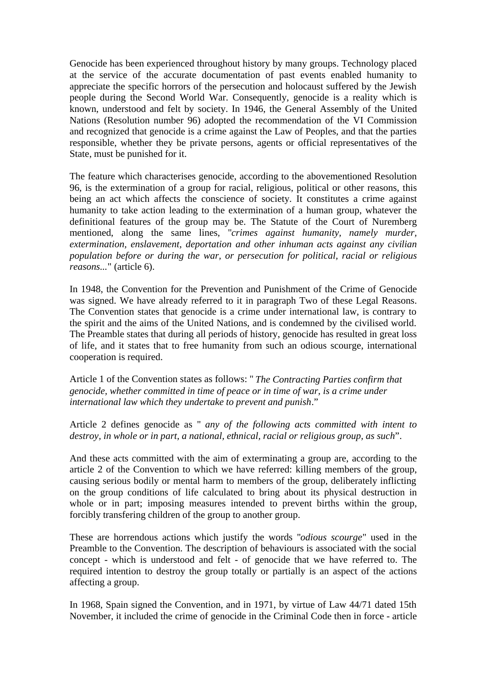Genocide has been experienced throughout history by many groups. Technology placed at the service of the accurate documentation of past events enabled humanity to appreciate the specific horrors of the persecution and holocaust suffered by the Jewish people during the Second World War. Consequently, genocide is a reality which is known, understood and felt by society. In 1946, the General Assembly of the United Nations (Resolution number 96) adopted the recommendation of the VI Commission and recognized that genocide is a crime against the Law of Peoples, and that the parties responsible, whether they be private persons, agents or official representatives of the State, must be punished for it.

The feature which characterises genocide, according to the abovementioned Resolution 96, is the extermination of a group for racial, religious, political or other reasons, this being an act which affects the conscience of society. It constitutes a crime against humanity to take action leading to the extermination of a human group, whatever the definitional features of the group may be. The Statute of the Court of Nuremberg mentioned, along the same lines, "*crimes against humanity, namely murder, extermination, enslavement, deportation and other inhuman acts against any civilian population before or during the war, or persecution for political, racial or religious reasons...*" (article 6).

In 1948, the Convention for the Prevention and Punishment of the Crime of Genocide was signed. We have already referred to it in paragraph Two of these Legal Reasons. The Convention states that genocide is a crime under international law, is contrary to the spirit and the aims of the United Nations, and is condemned by the civilised world. The Preamble states that during all periods of history, genocide has resulted in great loss of life, and it states that to free humanity from such an odious scourge, international cooperation is required.

Article 1 of the Convention states as follows: " *The Contracting Parties confirm that genocide, whether committed in time of peace or in time of war, is a crime under international law which they undertake to prevent and punish*."

Article 2 defines genocide as " *any of the following acts committed with intent to destroy, in whole or in part, a national, ethnical, racial or religious group, as such*".

And these acts committed with the aim of exterminating a group are, according to the article 2 of the Convention to which we have referred: killing members of the group, causing serious bodily or mental harm to members of the group, deliberately inflicting on the group conditions of life calculated to bring about its physical destruction in whole or in part; imposing measures intended to prevent births within the group, forcibly transfering children of the group to another group.

These are horrendous actions which justify the words "*odious scourge*" used in the Preamble to the Convention. The description of behaviours is associated with the social concept - which is understood and felt - of genocide that we have referred to. The required intention to destroy the group totally or partially is an aspect of the actions affecting a group.

In 1968, Spain signed the Convention, and in 1971, by virtue of Law 44/71 dated 15th November, it included the crime of genocide in the Criminal Code then in force - article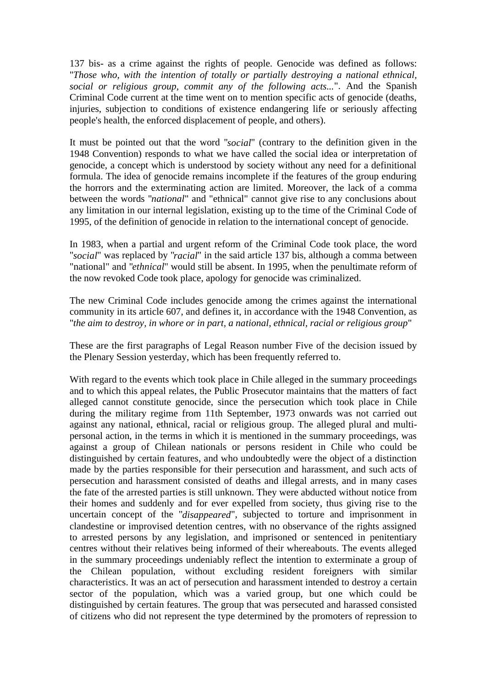137 bis- as a crime against the rights of people. Genocide was defined as follows: "*Those who, with the intention of totally or partially destroying a national ethnical, social or religious group, commit any of the following acts...*". And the Spanish Criminal Code current at the time went on to mention specific acts of genocide (deaths, injuries, subjection to conditions of existence endangering life or seriously affecting people's health, the enforced displacement of people, and others).

It must be pointed out that the word "*social*" (contrary to the definition given in the 1948 Convention) responds to what we have called the social idea or interpretation of genocide, a concept which is understood by society without any need for a definitional formula. The idea of genocide remains incomplete if the features of the group enduring the horrors and the exterminating action are limited. Moreover, the lack of a comma between the words "*national*" and "ethnical" cannot give rise to any conclusions about any limitation in our internal legislation, existing up to the time of the Criminal Code of 1995, of the definition of genocide in relation to the international concept of genocide.

In 1983, when a partial and urgent reform of the Criminal Code took place, the word "*social*" was replaced by "*racial*" in the said article 137 bis, although a comma between "national" and "*ethnical*" would still be absent. In 1995, when the penultimate reform of the now revoked Code took place, apology for genocide was criminalized.

The new Criminal Code includes genocide among the crimes against the international community in its article 607, and defines it, in accordance with the 1948 Convention, as "*the aim to destroy, in whore or in part, a national, ethnical, racial or religious group*"

These are the first paragraphs of Legal Reason number Five of the decision issued by the Plenary Session yesterday, which has been frequently referred to.

With regard to the events which took place in Chile alleged in the summary proceedings and to which this appeal relates, the Public Prosecutor maintains that the matters of fact alleged cannot constitute genocide, since the persecution which took place in Chile during the military regime from 11th September, 1973 onwards was not carried out against any national, ethnical, racial or religious group. The alleged plural and multipersonal action, in the terms in which it is mentioned in the summary proceedings, was against a group of Chilean nationals or persons resident in Chile who could be distinguished by certain features, and who undoubtedly were the object of a distinction made by the parties responsible for their persecution and harassment, and such acts of persecution and harassment consisted of deaths and illegal arrests, and in many cases the fate of the arrested parties is still unknown. They were abducted without notice from their homes and suddenly and for ever expelled from society, thus giving rise to the uncertain concept of the "*disappeared*", subjected to torture and imprisonment in clandestine or improvised detention centres, with no observance of the rights assigned to arrested persons by any legislation, and imprisoned or sentenced in penitentiary centres without their relatives being informed of their whereabouts. The events alleged in the summary proceedings undeniably reflect the intention to exterminate a group of the Chilean population, without excluding resident foreigners with similar characteristics. It was an act of persecution and harassment intended to destroy a certain sector of the population, which was a varied group, but one which could be distinguished by certain features. The group that was persecuted and harassed consisted of citizens who did not represent the type determined by the promoters of repression to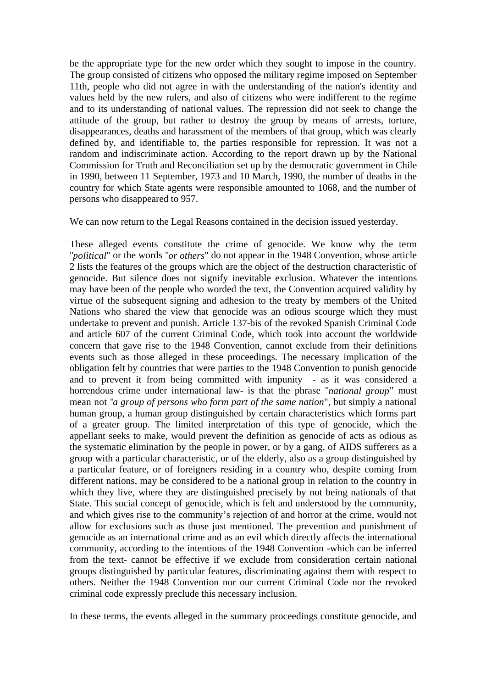be the appropriate type for the new order which they sought to impose in the country. The group consisted of citizens who opposed the military regime imposed on September 11th, people who did not agree in with the understanding of the nation's identity and values held by the new rulers, and also of citizens who were indifferent to the regime and to its understanding of national values. The repression did not seek to change the attitude of the group, but rather to destroy the group by means of arrests, torture, disappearances, deaths and harassment of the members of that group, which was clearly defined by, and identifiable to, the parties responsible for repression. It was not a random and indiscriminate action. According to the report drawn up by the National Commission for Truth and Reconciliation set up by the democratic government in Chile in 1990, between 11 September, 1973 and 10 March, 1990, the number of deaths in the country for which State agents were responsible amounted to 1068, and the number of persons who disappeared to 957.

We can now return to the Legal Reasons contained in the decision issued yesterday.

These alleged events constitute the crime of genocide. We know why the term "*political*" or the words "*or others*" do not appear in the 1948 Convention, whose article 2 lists the features of the groups which are the object of the destruction characteristic of genocide. But silence does not signify inevitable exclusion. Whatever the intentions may have been of the people who worded the text, the Convention acquired validity by virtue of the subsequent signing and adhesion to the treaty by members of the United Nations who shared the view that genocide was an odious scourge which they must undertake to prevent and punish. Article 137-bis of the revoked Spanish Criminal Code and article 607 of the current Criminal Code, which took into account the worldwide concern that gave rise to the 1948 Convention, cannot exclude from their definitions events such as those alleged in these proceedings. The necessary implication of the obligation felt by countries that were parties to the 1948 Convention to punish genocide and to prevent it from being committed with impunity - as it was considered a horrendous crime under international law- is that the phrase "*national group*" must mean not "*a group of persons who form part of the same nation*", but simply a national human group, a human group distinguished by certain characteristics which forms part of a greater group. The limited interpretation of this type of genocide, which the appellant seeks to make, would prevent the definition as genocide of acts as odious as the systematic elimination by the people in power, or by a gang, of AIDS sufferers as a group with a particular characteristic, or of the elderly, also as a group distinguished by a particular feature, or of foreigners residing in a country who, despite coming from different nations, may be considered to be a national group in relation to the country in which they live, where they are distinguished precisely by not being nationals of that State. This social concept of genocide, which is felt and understood by the community, and which gives rise to the community's rejection of and horror at the crime, would not allow for exclusions such as those just mentioned. The prevention and punishment of genocide as an international crime and as an evil which directly affects the international community, according to the intentions of the 1948 Convention -which can be inferred from the text- cannot be effective if we exclude from consideration certain national groups distinguished by particular features, discriminating against them with respect to others. Neither the 1948 Convention nor our current Criminal Code nor the revoked criminal code expressly preclude this necessary inclusion.

In these terms, the events alleged in the summary proceedings constitute genocide, and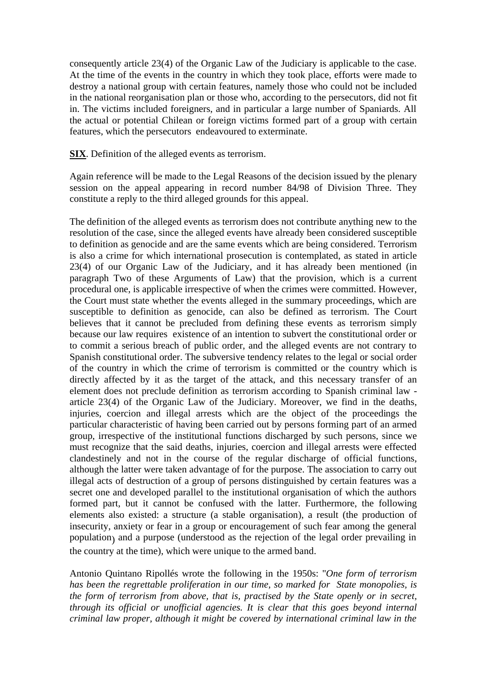consequently article 23(4) of the Organic Law of the Judiciary is applicable to the case. At the time of the events in the country in which they took place, efforts were made to destroy a national group with certain features, namely those who could not be included in the national reorganisation plan or those who, according to the persecutors, did not fit in. The victims included foreigners, and in particular a large number of Spaniards. All the actual or potential Chilean or foreign victims formed part of a group with certain features, which the persecutors endeavoured to exterminate.

**SIX**. Definition of the alleged events as terrorism.

Again reference will be made to the Legal Reasons of the decision issued by the plenary session on the appeal appearing in record number 84/98 of Division Three. They constitute a reply to the third alleged grounds for this appeal.

The definition of the alleged events as terrorism does not contribute anything new to the resolution of the case, since the alleged events have already been considered susceptible to definition as genocide and are the same events which are being considered. Terrorism is also a crime for which international prosecution is contemplated, as stated in article 23(4) of our Organic Law of the Judiciary, and it has already been mentioned (in paragraph Two of these Arguments of Law) that the provision, which is a current procedural one, is applicable irrespective of when the crimes were committed. However, the Court must state whether the events alleged in the summary proceedings, which are susceptible to definition as genocide, can also be defined as terrorism. The Court believes that it cannot be precluded from defining these events as terrorism simply because our law requires existence of an intention to subvert the constitutional order or to commit a serious breach of public order, and the alleged events are not contrary to Spanish constitutional order. The subversive tendency relates to the legal or social order of the country in which the crime of terrorism is committed or the country which is directly affected by it as the target of the attack, and this necessary transfer of an element does not preclude definition as terrorism according to Spanish criminal law article 23(4) of the Organic Law of the Judiciary. Moreover, we find in the deaths, injuries, coercion and illegal arrests which are the object of the proceedings the particular characteristic of having been carried out by persons forming part of an armed group, irrespective of the institutional functions discharged by such persons, since we must recognize that the said deaths, injuries, coercion and illegal arrests were effected clandestinely and not in the course of the regular discharge of official functions, although the latter were taken advantage of for the purpose. The association to carry out illegal acts of destruction of a group of persons distinguished by certain features was a secret one and developed parallel to the institutional organisation of which the authors formed part, but it cannot be confused with the latter. Furthermore, the following elements also existed: a structure (a stable organisation), a result (the production of insecurity, anxiety or fear in a group or encouragement of such fear among the general population) and a purpose (understood as the rejection of the legal order prevailing in the country at the time), which were unique to the armed band.

Antonio Quintano Ripollés wrote the following in the 1950s: "*One form of terrorism has been the regrettable proliferation in our time, so marked for State monopolies, is the form of terrorism from above, that is, practised by the State openly or in secret, through its official or unofficial agencies. It is clear that this goes beyond internal criminal law proper, although it might be covered by international criminal law in the*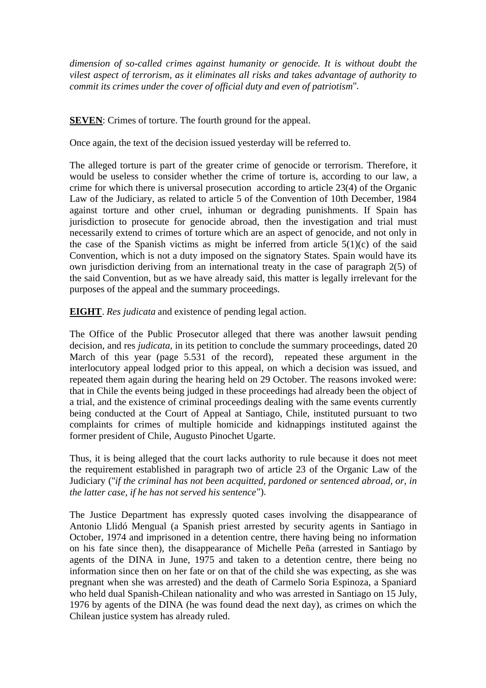*dimension of so-called crimes against humanity or genocide. It is without doubt the vilest aspect of terrorism, as it eliminates all risks and takes advantage of authority to commit its crimes under the cover of official duty and even of patriotism*".

**SEVEN**: Crimes of torture. The fourth ground for the appeal.

Once again, the text of the decision issued yesterday will be referred to.

The alleged torture is part of the greater crime of genocide or terrorism. Therefore, it would be useless to consider whether the crime of torture is, according to our law, a crime for which there is universal prosecution according to article 23(4) of the Organic Law of the Judiciary, as related to article 5 of the Convention of 10th December, 1984 against torture and other cruel, inhuman or degrading punishments. If Spain has jurisdiction to prosecute for genocide abroad, then the investigation and trial must necessarily extend to crimes of torture which are an aspect of genocide, and not only in the case of the Spanish victims as might be inferred from article  $5(1)(c)$  of the said Convention, which is not a duty imposed on the signatory States. Spain would have its own jurisdiction deriving from an international treaty in the case of paragraph 2(5) of the said Convention, but as we have already said, this matter is legally irrelevant for the purposes of the appeal and the summary proceedings.

**EIGHT**. *Res judicata* and existence of pending legal action.

The Office of the Public Prosecutor alleged that there was another lawsuit pending decision, and res *judicata,* in its petition to conclude the summary proceedings, dated 20 March of this year (page 5.531 of the record), repeated these argument in the interlocutory appeal lodged prior to this appeal, on which a decision was issued, and repeated them again during the hearing held on 29 October. The reasons invoked were: that in Chile the events being judged in these proceedings had already been the object of a trial, and the existence of criminal proceedings dealing with the same events currently being conducted at the Court of Appeal at Santiago, Chile, instituted pursuant to two complaints for crimes of multiple homicide and kidnappings instituted against the former president of Chile, Augusto Pinochet Ugarte.

Thus, it is being alleged that the court lacks authority to rule because it does not meet the requirement established in paragraph two of article 23 of the Organic Law of the Judiciary ("*if the criminal has not been acquitted, pardoned or sentenced abroad, or, in the latter case, if he has not served his sentence*").

The Justice Department has expressly quoted cases involving the disappearance of Antonio Llidó Mengual (a Spanish priest arrested by security agents in Santiago in October, 1974 and imprisoned in a detention centre, there having being no information on his fate since then), the disappearance of Michelle Peña (arrested in Santiago by agents of the DINA in June, 1975 and taken to a detention centre, there being no information since then on her fate or on that of the child she was expecting, as she was pregnant when she was arrested) and the death of Carmelo Soria Espinoza, a Spaniard who held dual Spanish-Chilean nationality and who was arrested in Santiago on 15 July, 1976 by agents of the DINA (he was found dead the next day), as crimes on which the Chilean justice system has already ruled.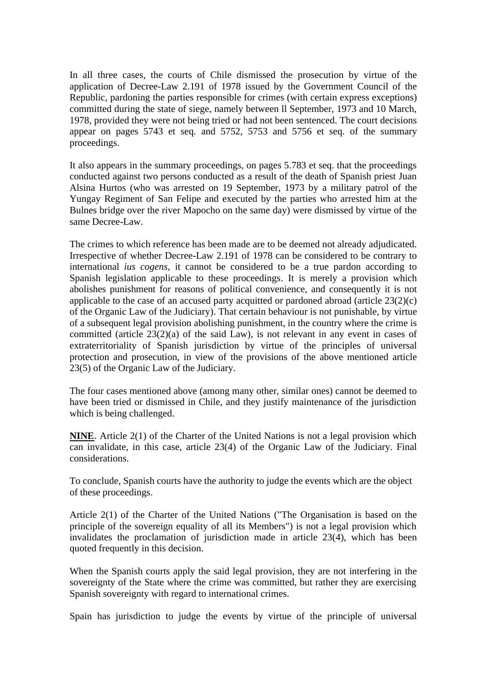In all three cases, the courts of Chile dismissed the prosecution by virtue of the application of Decree-Law 2.191 of 1978 issued by the Government Council of the Republic, pardoning the parties responsible for crimes (with certain express exceptions) committed during the state of siege, namely between ll September, 1973 and 10 March, 1978, provided they were not being tried or had not been sentenced. The court decisions appear on pages 5743 et seq. and 5752, 5753 and 5756 et seq. of the summary proceedings.

It also appears in the summary proceedings, on pages 5.783 et seq. that the proceedings conducted against two persons conducted as a result of the death of Spanish priest Juan Alsina Hurtos (who was arrested on 19 September, 1973 by a military patrol of the Yungay Regiment of San Felipe and executed by the parties who arrested him at the Bulnes bridge over the river Mapocho on the same day) were dismissed by virtue of the same Decree-Law.

The crimes to which reference has been made are to be deemed not already adjudicated. Irrespective of whether Decree-Law 2.191 of 1978 can be considered to be contrary to international *ius cogens,* it cannot be considered to be a true pardon according to Spanish legislation applicable to these proceedings. It is merely a provision which abolishes punishment for reasons of political convenience, and consequently it is not applicable to the case of an accused party acquitted or pardoned abroad (article  $23(2)(c)$ ) of the Organic Law of the Judiciary). That certain behaviour is not punishable, by virtue of a subsequent legal provision abolishing punishment, in the country where the crime is committed (article 23(2)(a) of the said Law), is not relevant in any event in cases of extraterritoriality of Spanish jurisdiction by virtue of the principles of universal protection and prosecution, in view of the provisions of the above mentioned article 23(5) of the Organic Law of the Judiciary.

The four cases mentioned above (among many other, similar ones) cannot be deemed to have been tried or dismissed in Chile, and they justify maintenance of the jurisdiction which is being challenged.

**NINE**. Article 2(1) of the Charter of the United Nations is not a legal provision which can invalidate, in this case, article 23(4) of the Organic Law of the Judiciary. Final considerations.

To conclude, Spanish courts have the authority to judge the events which are the object of these proceedings.

Article 2(1) of the Charter of the United Nations ("The Organisation is based on the principle of the sovereign equality of all its Members") is not a legal provision which invalidates the proclamation of jurisdiction made in article 23(4), which has been quoted frequently in this decision.

When the Spanish courts apply the said legal provision, they are not interfering in the sovereignty of the State where the crime was committed, but rather they are exercising Spanish sovereignty with regard to international crimes.

Spain has jurisdiction to judge the events by virtue of the principle of universal